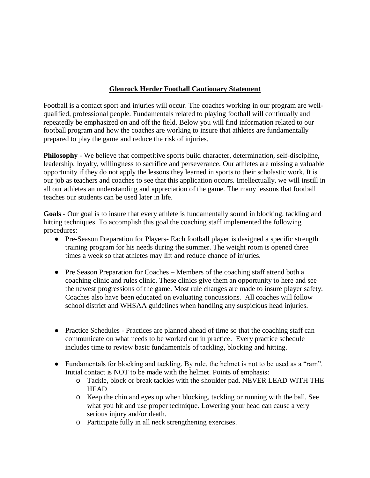## **Glenrock Herder Football Cautionary Statement**

Football is a contact sport and injuries will occur. The coaches working in our program are wellqualified, professional people. Fundamentals related to playing football will continually and repeatedly be emphasized on and off the field. Below you will find information related to our football program and how the coaches are working to insure that athletes are fundamentally prepared to play the game and reduce the risk of injuries.

**Philosophy** - We believe that competitive sports build character, determination, self-discipline, leadership, loyalty, willingness to sacrifice and perseverance. Our athletes are missing a valuable opportunity if they do not apply the lessons they learned in sports to their scholastic work. It is our job as teachers and coaches to see that this application occurs. Intellectually, we will instill in all our athletes an understanding and appreciation of the game. The many lessons that football teaches our students can be used later in life.

**Goals** - Our goal is to insure that every athlete is fundamentally sound in blocking, tackling and hitting techniques. To accomplish this goal the coaching staff implemented the following procedures:

- Pre-Season Preparation for Players- Each football player is designed a specific strength training program for his needs during the summer. The weight room is opened three times a week so that athletes may lift and reduce chance of injuries.
- Pre Season Preparation for Coaches Members of the coaching staff attend both a coaching clinic and rules clinic. These clinics give them an opportunity to here and see the newest progressions of the game. Most rule changes are made to insure player safety. Coaches also have been educated on evaluating concussions. All coaches will follow school district and WHSAA guidelines when handling any suspicious head injuries.
- Practice Schedules Practices are planned ahead of time so that the coaching staff can communicate on what needs to be worked out in practice. Every practice schedule includes time to review basic fundamentals of tackling, blocking and hitting.
- Fundamentals for blocking and tackling. By rule, the helmet is not to be used as a "ram". Initial contact is NOT to be made with the helmet. Points of emphasis:
	- o Tackle, block or break tackles with the shoulder pad. NEVER LEAD WITH THE HEAD.
	- o Keep the chin and eyes up when blocking, tackling or running with the ball. See what you hit and use proper technique. Lowering your head can cause a very serious injury and/or death.
	- o Participate fully in all neck strengthening exercises.